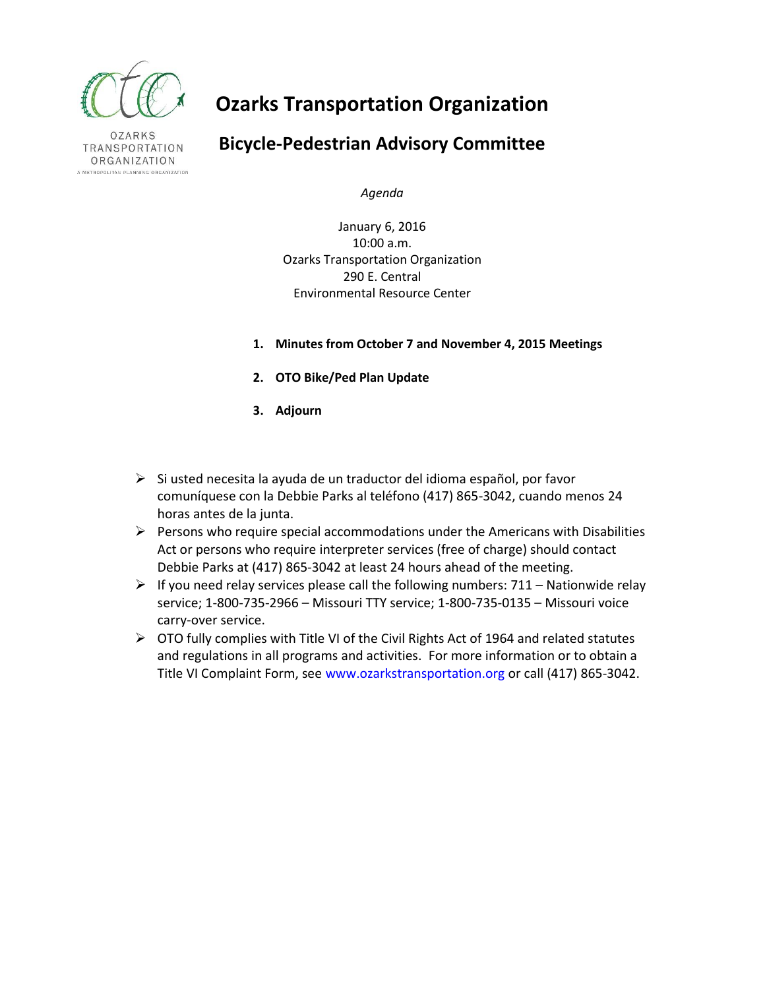

**OZARKS** TRANSPORTATION ORGANIZATION A METROPOLITAN PLANNING ORGANIZATION

# **Ozarks Transportation Organization**

# **Bicycle-Pedestrian Advisory Committee**

*Agenda*

January 6, 2016 10:00 a.m. Ozarks Transportation Organization 290 E. Central Environmental Resource Center

- **1. Minutes from October 7 and November 4, 2015 Meetings**
- **2. OTO Bike/Ped Plan Update**
- **3. Adjourn**
- $\triangleright$  Si usted necesita la ayuda de un traductor del idioma español, por favor comuníquese con la Debbie Parks al teléfono (417) 865-3042, cuando menos 24 horas antes de la junta.
- $\triangleright$  Persons who require special accommodations under the Americans with Disabilities Act or persons who require interpreter services (free of charge) should contact Debbie Parks at (417) 865-3042 at least 24 hours ahead of the meeting.
- $\triangleright$  If you need relay services please call the following numbers: 711 Nationwide relay service; 1-800-735-2966 – Missouri TTY service; 1-800-735-0135 – Missouri voice carry-over service.
- $\triangleright$  OTO fully complies with Title VI of the Civil Rights Act of 1964 and related statutes and regulations in all programs and activities. For more information or to obtain a Title VI Complaint Form, see www.ozarkstransportation.org or call (417) 865-3042.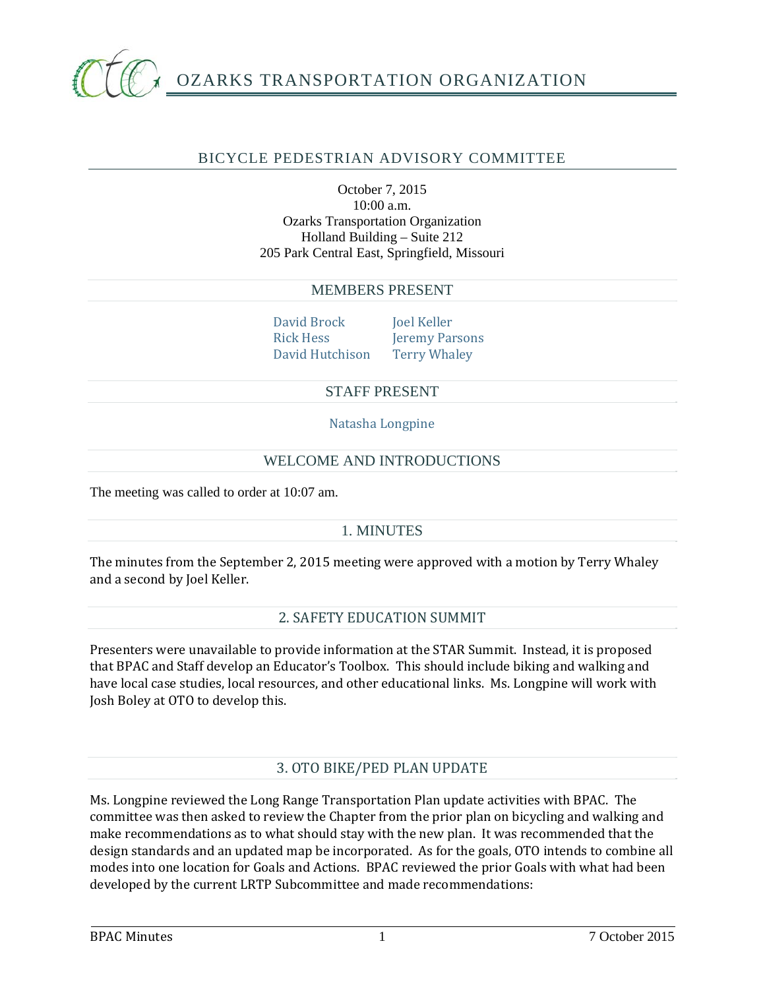

# BICYCLE PEDESTRIAN ADVISORY COMMITTEE

#### October 7, 2015 10:00 a.m. Ozarks Transportation Organization Holland Building – Suite 212 205 Park Central East, Springfield, Missouri

#### MEMBERS PRESENT

David Brock Joel Keller Rick Hess Jeremy Parsons David Hutchison Terry Whaley

## STAFF PRESENT

Natasha Longpine

## WELCOME AND INTRODUCTIONS

The meeting was called to order at 10:07 am.

#### 1. MINUTES

The minutes from the September 2, 2015 meeting were approved with a motion by Terry Whaley and a second by Joel Keller.

#### 2. SAFETY EDUCATION SUMMIT

Presenters were unavailable to provide information at the STAR Summit. Instead, it is proposed that BPAC and Staff develop an Educator's Toolbox. This should include biking and walking and have local case studies, local resources, and other educational links. Ms. Longpine will work with Josh Boley at OTO to develop this.

# 3. OTO BIKE/PED PLAN UPDATE

Ms. Longpine reviewed the Long Range Transportation Plan update activities with BPAC. The committee was then asked to review the Chapter from the prior plan on bicycling and walking and make recommendations as to what should stay with the new plan. It was recommended that the design standards and an updated map be incorporated. As for the goals, OTO intends to combine all modes into one location for Goals and Actions. BPAC reviewed the prior Goals with what had been developed by the current LRTP Subcommittee and made recommendations: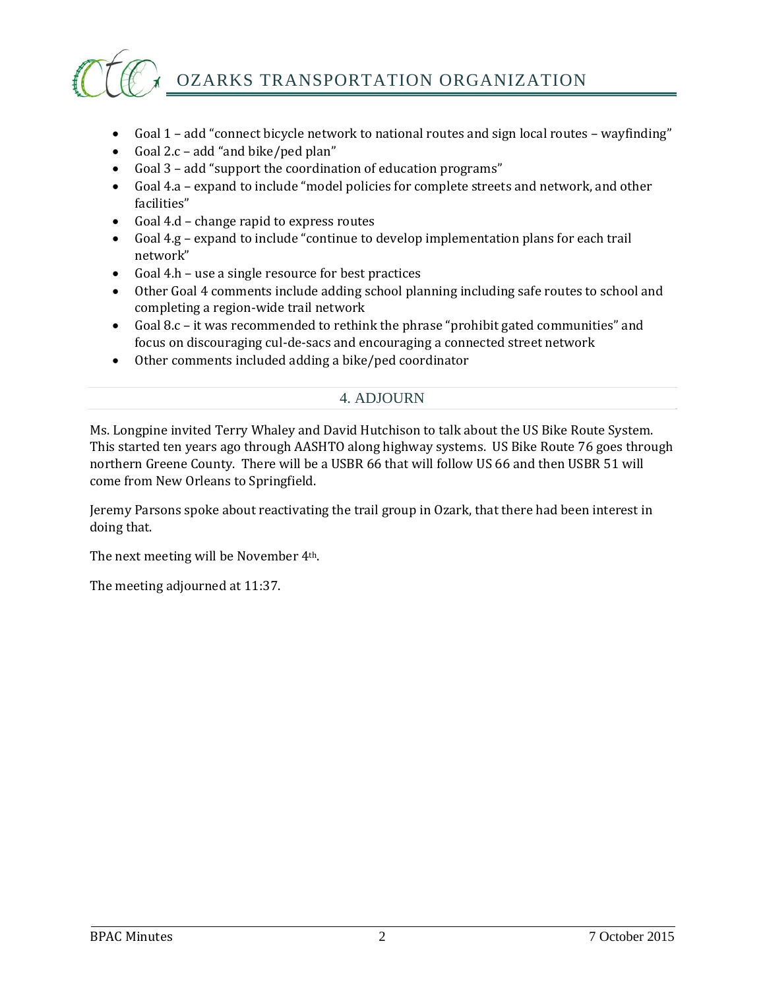

OZARKS TRANSPORTATION ORGANIZATION

- Goal  $1$  add "connect bicycle network to national routes and sign local routes wayfinding"
- Goal 2. $c$  add "and bike/ped plan"
- Goal 3 add "support the coordination of education programs"
- Goal 4.a expand to include "model policies for complete streets and network, and other facilities"
- Goal 4.d change rapid to express routes
- Goal 4.g expand to include "continue to develop implementation plans for each trail network"
- Goal 4.h use a single resource for best practices
- Other Goal 4 comments include adding school planning including safe routes to school and completing a region-wide trail network
- Goal 8.c it was recommended to rethink the phrase "prohibit gated communities" and focus on discouraging cul-de-sacs and encouraging a connected street network
- Other comments included adding a bike/ped coordinator

#### 4. ADJOURN

Ms. Longpine invited Terry Whaley and David Hutchison to talk about the US Bike Route System. This started ten years ago through AASHTO along highway systems. US Bike Route 76 goes through northern Greene County. There will be a USBR 66 that will follow US 66 and then USBR 51 will come from New Orleans to Springfield.

Jeremy Parsons spoke about reactivating the trail group in Ozark, that there had been interest in doing that.

The next meeting will be November 4<sup>th</sup>.

The meeting adjourned at 11:37.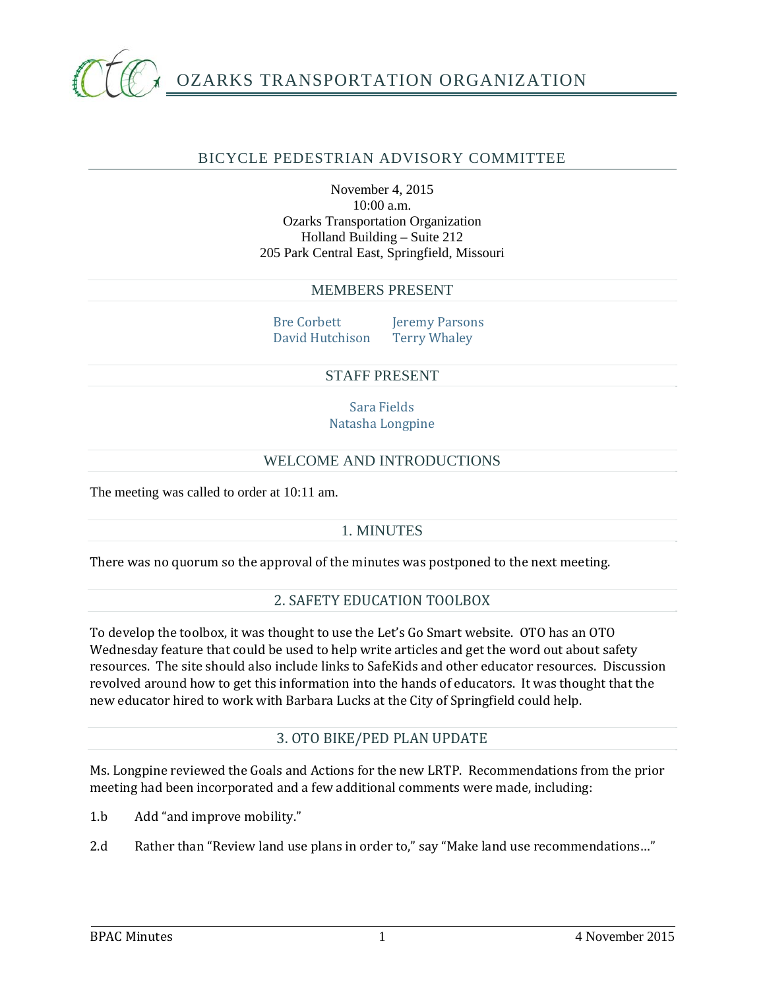

# BICYCLE PEDESTRIAN ADVISORY COMMITTEE

November 4, 2015 10:00 a.m. Ozarks Transportation Organization Holland Building – Suite 212 205 Park Central East, Springfield, Missouri

#### MEMBERS PRESENT

Bre Corbett Jeremy Parsons David Hutchison Terry Whaley

#### STAFF PRESENT

Sara Fields Natasha Longpine

#### WELCOME AND INTRODUCTIONS

The meeting was called to order at 10:11 am.

#### 1. MINUTES

There was no quorum so the approval of the minutes was postponed to the next meeting.

# 2. SAFETY EDUCATION TOOLBOX

To develop the toolbox, it was thought to use the Let's Go Smart website. OTO has an OTO Wednesday feature that could be used to help write articles and get the word out about safety resources. The site should also include links to SafeKids and other educator resources. Discussion revolved around how to get this information into the hands of educators. It was thought that the new educator hired to work with Barbara Lucks at the City of Springfield could help.

#### 3. OTO BIKE/PED PLAN UPDATE

Ms. Longpine reviewed the Goals and Actions for the new LRTP. Recommendations from the prior meeting had been incorporated and a few additional comments were made, including:

1.b Add "and improve mobility."

2.d Rather than "Review land use plans in order to," say "Make land use recommendations..."